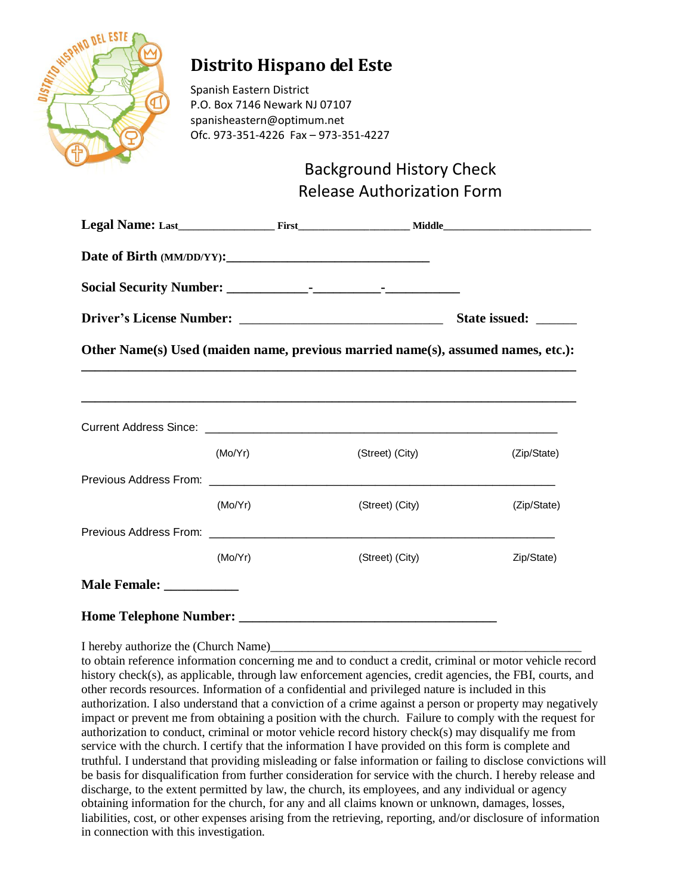

## **Distrito Hispano del Este**

Spanish Eastern District P.O. Box 7146 Newark NJ 07107 spanisheastern@optimum.net Ofc. 973-351-4226 Fax – 973-351-4227

## Background History Check Release Authorization Form

|                                                                                  | State issued: ______ |                                                                                   |             |  |  |
|----------------------------------------------------------------------------------|----------------------|-----------------------------------------------------------------------------------|-------------|--|--|
| Other Name(s) Used (maiden name, previous married name(s), assumed names, etc.): |                      |                                                                                   |             |  |  |
|                                                                                  |                      | ,我们也不能会在这里,我们的人们就会在这里,我们也不能会在这里,我们也不能会在这里,我们也不能会在这里,我们也不能会在这里,我们也不能会不能会不能会。""我们,我 |             |  |  |
|                                                                                  |                      |                                                                                   |             |  |  |
|                                                                                  | (Mo/Yr)              | (Street) (City)                                                                   | (Zip/State) |  |  |
|                                                                                  |                      |                                                                                   |             |  |  |
|                                                                                  | (Mo/Yr)              | (Street) (City)                                                                   | (Zip/State) |  |  |
|                                                                                  |                      |                                                                                   |             |  |  |
|                                                                                  | (Mo/Yr)              | (Street) (City)                                                                   | Zip/State)  |  |  |
| Male Female: _____________                                                       |                      |                                                                                   |             |  |  |
|                                                                                  |                      |                                                                                   |             |  |  |

I hereby authorize the (Church Name)

to obtain reference information concerning me and to conduct a credit, criminal or motor vehicle record history check(s), as applicable, through law enforcement agencies, credit agencies, the FBI, courts, and other records resources. Information of a confidential and privileged nature is included in this authorization. I also understand that a conviction of a crime against a person or property may negatively impact or prevent me from obtaining a position with the church. Failure to comply with the request for authorization to conduct, criminal or motor vehicle record history check(s) may disqualify me from service with the church. I certify that the information I have provided on this form is complete and truthful. I understand that providing misleading or false information or failing to disclose convictions will be basis for disqualification from further consideration for service with the church. I hereby release and discharge, to the extent permitted by law, the church, its employees, and any individual or agency obtaining information for the church, for any and all claims known or unknown, damages, losses, liabilities, cost, or other expenses arising from the retrieving, reporting, and/or disclosure of information in connection with this investigation.